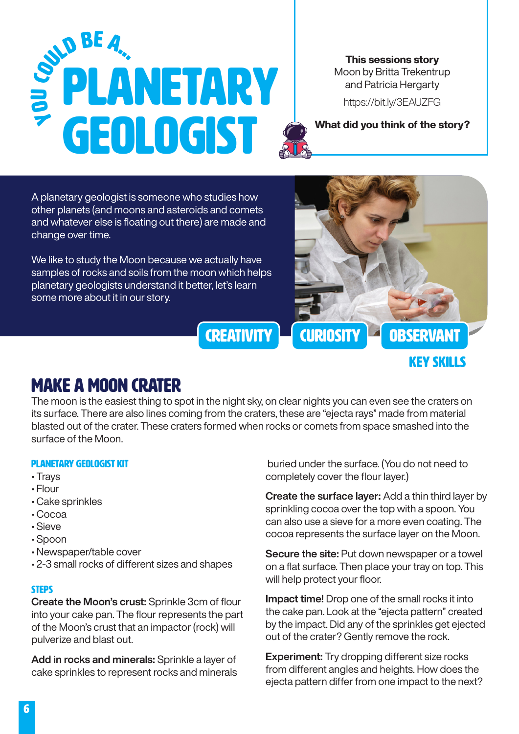# pLANETARY GEOLOGIST **EXAMPLE DEPARTMENT OF THE STATE OF THE STATE OF THE STATE OF THE STATE OF THE STATE OF THE STATE OF THE STATE OF THE STATE OF THE STATE OF THE STATE OF THE STATE OF THE STATE OF THE STATE OF THE STATE OF THE STATE OF THE** u coup BE A...

This sessions story Moon by Britta Trekentrup and Patricia Hergarty

<https://bit.ly/3EAUZFG>

A planetary geologist is someone who studies how other planets (and moons and asteroids and comets and whatever else is floating out there) are made and change over time.

We like to study the Moon because we actually have samples of rocks and soils from the moon which helps planetary geologists understand it better, let's learn some more about it in our story.



### Make a Moon Crater

The moon is the easiest thing to spot in the night sky, on clear nights you can even see the craters on its surface. There are also lines coming from the craters, these are "ejecta rays" made from material blasted out of the crater. These craters formed when rocks or comets from space smashed into the surface of the Moon.

### planetary geologist Kit

- Trays
- Flour
- Cake sprinkles
- Cocoa
- Sieve
- Spoon
- Newspaper/table cover
- 2-3 small rocks of different sizes and shapes

### **STEPS**

Create the Moon's crust: Sprinkle 3cm of flour into your cake pan. The flour represents the part of the Moon's crust that an impactor (rock) will pulverize and blast out.

Add in rocks and minerals: Sprinkle a layer of cake sprinkles to represent rocks and minerals

 buried under the surface. (You do not need to completely cover the flour layer.)

Create the surface layer: Add a thin third layer by sprinkling cocoa over the top with a spoon. You can also use a sieve for a more even coating. The cocoa represents the surface layer on the Moon.

Secure the site: Put down newspaper or a towel on a flat surface. Then place your tray on top. This will help protect your floor.

Impact time! Drop one of the small rocks it into the cake pan. Look at the "ejecta pattern" created by the impact. Did any of the sprinkles get ejected out of the crater? Gently remove the rock.

**Experiment:** Try dropping different size rocks from different angles and heights. How does the ejecta pattern differ from one impact to the next?